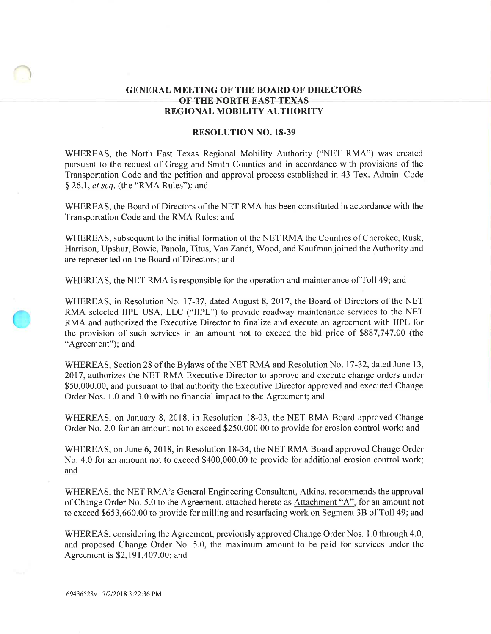## GENERAL MEETING OF THE BOARD OF DIRECTORS OF THE NORTH EAST TEXAS REGIONAL MOBILITY AUTHORITY

## RESOLUTION NO. 18-39

WHEREAS, the North East Texas Regional Mobility Authority ("NET RMA") was created pursuant to the request of Gregg and Smith Counties and in accordance with provisions of the Transportation Code and the petition and approval process established in 43 Tex. Admin. Code  $§$  26.1, *et seq.* (the "RMA Rules"); and

WHEREAS, the Board of Directors of the NET RMA has been constituted in accordance with the Transportation Code and the RMA Rules; and

WHEREAS, subsequent to the initial formation of the NET RMA the Counties of Cherokee, Rusk, Harrison, Upshur, Bowie, Panola, Titus, YanZandt, Wood, and Kaufman joined the Authority and are represented on the Board of Directors; and

WHEREAS, the NET RMA is responsible for the operation and maintenance of Toll 49; and

WHEREAS, in Resolution No. 17-37, dated August 8,2017, the Board of Directors of the NET RMA selected IIPL USA, LLC ("IIPL") to provide roadway maintenance services to the NET RMA and authorized the Executive Director to finalize and execute an agreement with IIPL for the provision of such services in an amount not to exceed the bid price of 9887,747.00 (the "Agreement"); and

WHEREAS, Section 28 of the Bylaws of the NET RMA and Resolution No. 17-32, dated June 13, 2017, authorizes the NET RMA Executive Director to approve and execute change orders under S50,000.00, and pursuant to that authority the Executive Director approved and executed Change Order Nos. 1.0 and 3.0 with no financial impact to the Agreement; and

WHEREAS, on January 8,2018, in Resolution l8-03, the NET RMA Board approved Change Order No. 2.0 for an amount not to exceed \$250,000.00 to provide for erosion control work; and

WHEREAS, on June 6,2018, in Resolution l8-34, the NET RMA Board approved Change Order No. 4.0 for an amount not to exceed \$400,000.00 to provide for additional erosion control work; and

WHEREAS, the NET RMA's General Engineering Consultant, Atkins, recommends the approval of Change Order No. 5.0 to the Agreement, attached hereto as Attachment "A", for an amount not to exceed \$653,660.00 to provide for milling and resurfacing work on Segment 3B of Toll 49; and

WHEREAS, considering the Agreement, previously approved Change Order Nos. 1.0 through 4.0, and proposed Change Order No. 5.0, the maximum amount to be paid for services under the Agreement is \$2,191,407.00; and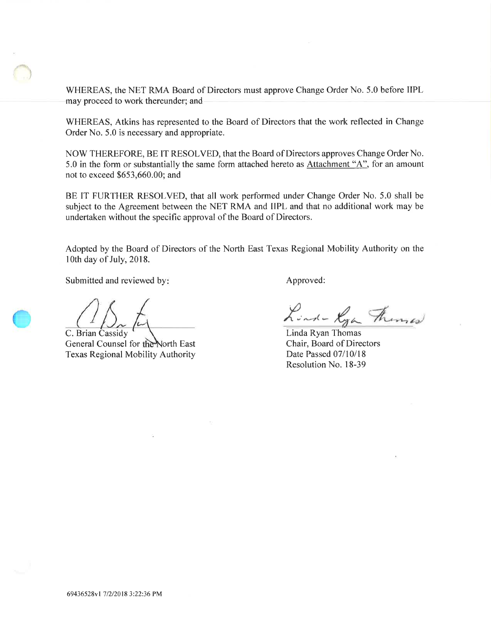WHEREAS, the NET RMA Board of Directors must approve Change Order No. 5.0 before IIPL may proceed to work thereunder; and

WHEREAS, Atkins has represented to the Board of Directors that the work reflected in Change Order No. 5.0 is necessary and appropriate.

NOW THEREFORE, BE IT RESOLVED, that the Board of Directors approves Change Order No. 5.0 in the form or substantially the same form attached hereto as Attachment "A", for an amount not to exceed \$653,660.00; and

BE IT FURTHER RESOLVED, that all work performed under Change Order No. 5.0 shall be subject to the Agreement between the NET RMA and IIPL and that no additional work may be undertaken without the specific approval of the Board of Directors.

Adopted by the Board of Directors of the North East Texas Regional Mobility Authority on the lOth day of July, 2018.

Submitted and reviewed by: Approved:

C. Brian Cassidy General Counsel for the North East Texas Regional Mobility Authority

Lind- Kya Fremas

Linda Ryan Thomas Chair, Board of Directors Date Passed 07/10/18 Resolution No. 18-39